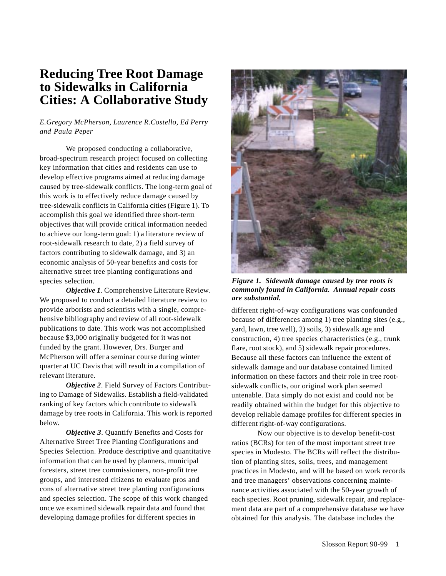# **Reducing Tree Root Damage to Sidewalks in California Cities: A Collaborative Study**

## *E.Gregory McPherson, Laurence R.Costello, Ed Perry and Paula Peper*

We proposed conducting a collaborative, broad-spectrum research project focused on collecting key information that cities and residents can use to develop effective programs aimed at reducing damage caused by tree-sidewalk conflicts. The long-term goal of this work is to effectively reduce damage caused by tree-sidewalk conflicts in California cities (Figure 1). To accomplish this goal we identified three short-term objectives that will provide critical information needed to achieve our long-term goal: 1) a literature review of root-sidewalk research to date, 2) a field survey of factors contributing to sidewalk damage, and 3) an economic analysis of 50-year benefits and costs for alternative street tree planting configurations and species selection.

*Objective 1*. Comprehensive Literature Review. We proposed to conduct a detailed literature review to provide arborists and scientists with a single, comprehensive bibliography and review of all root-sidewalk publications to date. This work was not accomplished because \$3,000 originally budgeted for it was not funded by the grant. However, Drs. Burger and McPherson will offer a seminar course during winter quarter at UC Davis that will result in a compilation of relevant literature.

*Objective 2*. Field Survey of Factors Contributing to Damage of Sidewalks. Establish a field-validated ranking of key factors which contribute to sidewalk damage by tree roots in California. This work is reported below.

*Objective 3*. Quantify Benefits and Costs for Alternative Street Tree Planting Configurations and Species Selection. Produce descriptive and quantitative information that can be used by planners, municipal foresters, street tree commissioners, non-profit tree groups, and interested citizens to evaluate pros and cons of alternative street tree planting configurations and species selection. The scope of this work changed once we examined sidewalk repair data and found that developing damage profiles for different species in



*Figure 1. Sidewalk damage caused by tree roots is commonly found in California. Annual repair costs are substantial.*

different right-of-way configurations was confounded because of differences among 1) tree planting sites (e.g., yard, lawn, tree well), 2) soils, 3) sidewalk age and construction, 4) tree species characteristics (e.g., trunk flare, root stock), and 5) sidewalk repair procedures. Because all these factors can influence the extent of sidewalk damage and our database contained limited information on these factors and their role in tree rootsidewalk conflicts, our original work plan seemed untenable. Data simply do not exist and could not be readily obtained within the budget for this objective to develop reliable damage profiles for different species in different right-of-way configurations.

Now our objective is to develop benefit-cost ratios (BCRs) for ten of the most important street tree species in Modesto. The BCRs will reflect the distribution of planting sites, soils, trees, and management practices in Modesto, and will be based on work records and tree managers' observations concerning maintenance activities associated with the 50-year growth of each species. Root pruning, sidewalk repair, and replacement data are part of a comprehensive database we have obtained for this analysis. The database includes the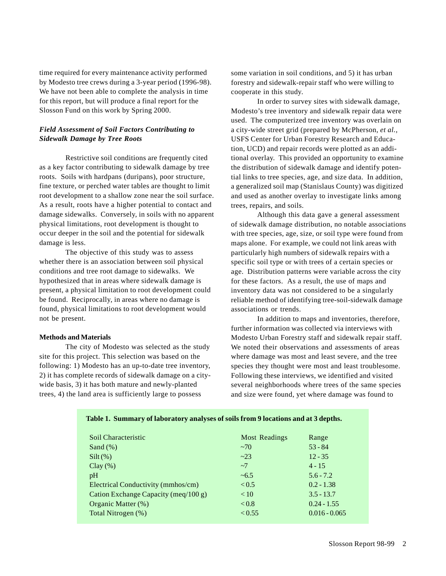time required for every maintenance activity performed by Modesto tree crews during a 3-year period (1996-98). We have not been able to complete the analysis in time for this report, but will produce a final report for the Slosson Fund on this work by Spring 2000.

### *Field Assessment of Soil Factors Contributing to Sidewalk Damage by Tree Roots*

Restrictive soil conditions are frequently cited as a key factor contributing to sidewalk damage by tree roots. Soils with hardpans (duripans), poor structure, fine texture, or perched water tables are thought to limit root development to a shallow zone near the soil surface. As a result, roots have a higher potential to contact and damage sidewalks. Conversely, in soils with no apparent physical limitations, root development is thought to occur deeper in the soil and the potential for sidewalk damage is less.

The objective of this study was to assess whether there is an association between soil physical conditions and tree root damage to sidewalks. We hypothesized that in areas where sidewalk damage is present, a physical limitation to root development could be found. Reciprocally, in areas where no damage is found, physical limitations to root development would not be present.

#### **Methods and Materials**

The city of Modesto was selected as the study site for this project. This selection was based on the following: 1) Modesto has an up-to-date tree inventory, 2) it has complete records of sidewalk damage on a citywide basis, 3) it has both mature and newly-planted trees, 4) the land area is sufficiently large to possess

some variation in soil conditions, and 5) it has urban forestry and sidewalk-repair staff who were willing to cooperate in this study.

In order to survey sites with sidewalk damage, Modesto's tree inventory and sidewalk repair data were used. The computerized tree inventory was overlain on a city-wide street grid (prepared by McPherson, *et al.*, USFS Center for Urban Forestry Research and Education, UCD) and repair records were plotted as an additional overlay. This provided an opportunity to examine the distribution of sidewalk damage and identify potential links to tree species, age, and size data. In addition, a generalized soil map (Stanislaus County) was digitized and used as another overlay to investigate links among trees, repairs, and soils.

Although this data gave a general assessment of sidewalk damage distribution, no notable associations with tree species, age, size, or soil type were found from maps alone. For example, we could not link areas with particularly high numbers of sidewalk repairs with a specific soil type or with trees of a certain species or age. Distribution patterns were variable across the city for these factors. As a result, the use of maps and inventory data was not considered to be a singularly reliable method of identifying tree-soil-sidewalk damage associations or trends.

In addition to maps and inventories, therefore, further information was collected via interviews with Modesto Urban Forestry staff and sidewalk repair staff. We noted their observations and assessments of areas where damage was most and least severe, and the tree species they thought were most and least troublesome. Following these interviews, we identified and visited several neighborhoods where trees of the same species and size were found, yet where damage was found to

| Table 1. Summary of laboratory analyses of soils from 9 locations and at 3 depths. |  |  |
|------------------------------------------------------------------------------------|--|--|
|------------------------------------------------------------------------------------|--|--|

| Soil Characteristic                  | <b>Most Readings</b> | Range           |
|--------------------------------------|----------------------|-----------------|
| Sand $(\%)$                          | ~1                   | $53 - 84$       |
| $Silt(\%)$                           | ~23                  | $12 - 35$       |
| $Clay(\%)$                           | $\sim$ 7             | $4 - 15$        |
| pH                                   | $~10-6.5$            | $5.6 - 7.2$     |
| Electrical Conductivity (mmhos/cm)   | < 0.5                | $0.2 - 1.38$    |
| Cation Exchange Capacity (meq/100 g) | < 10                 | $3.5 - 13.7$    |
| Organic Matter (%)                   | < 0.8                | $0.24 - 1.55$   |
| Total Nitrogen (%)                   | < 0.55               | $0.016 - 0.065$ |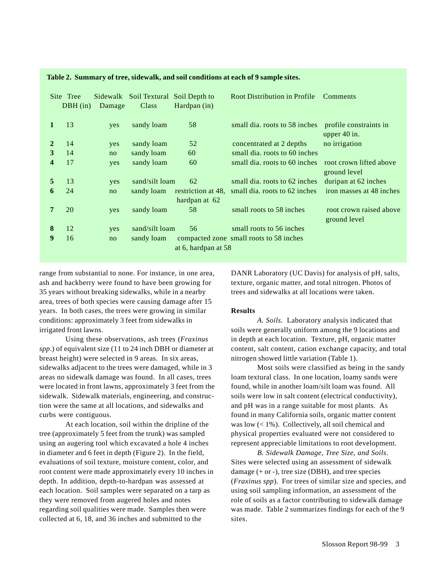|              | Site Tree<br>$DBH$ (in) | Sidewalk<br>Damage | Soil Textural Soil Depth to<br>Class | Hardpan (in)                        | <b>Root Distribution in Profile</b>     | <b>Comments</b>                          |
|--------------|-------------------------|--------------------|--------------------------------------|-------------------------------------|-----------------------------------------|------------------------------------------|
| $\mathbf{1}$ | 13                      | yes                | sandy loam                           | 58                                  | small dia. roots to 58 inches           | profile constraints in<br>upper $40$ in. |
| $\mathbf{2}$ | 14                      | yes                | sandy loam                           | 52                                  | concentrated at 2 depths                | no irrigation                            |
| 3            | 14                      | no                 | sandy loam                           | 60                                  | small dia, roots to 60 inches           |                                          |
| 4            | 17                      | yes                | sandy loam                           | 60                                  | small dia. roots to 60 inches           | root crown lifted above<br>ground level  |
| 5            | 13                      | yes                | sand/silt loam                       | 62                                  | small dia. roots to 62 inches           | duripan at 62 inches                     |
| 6            | 24                      | no                 | sandy loam                           | restriction at 48.<br>hardpan at 62 | small dia. roots to 62 inches           | iron masses at 48 inches                 |
| 7            | 20                      | yes                | sandy loam                           | 58                                  | small roots to 58 inches                | root crown raised above<br>ground level  |
| 8            | 12                      | yes                | sand/silt loam                       | 56                                  | small roots to 56 inches                |                                          |
| 9            | 16                      | no                 | sandy loam                           | at 6, hardpan at 58                 | compacted zone small roots to 58 inches |                                          |

**Table 2. Summary of tree, sidewalk, and soil conditions at each of 9 sample sites.**

range from substantial to none. For instance, in one area, ash and hackberry were found to have been growing for 35 years without breaking sidewalks, while in a nearby area, trees of both species were causing damage after 15 years. In both cases, the trees were growing in similar conditions: approximately 3 feet from sidewalks in irrigated front lawns.

Using these observations, ash trees (*Fraxinus spp*.) of equivalent size (11 to 24 inch DBH or diameter at breast height) were selected in 9 areas. In six areas, sidewalks adjacent to the trees were damaged, while in 3 areas no sidewalk damage was found. In all cases, trees were located in front lawns, approximately 3 feet from the sidewalk. Sidewalk materials, engineering, and construction were the same at all locations, and sidewalks and curbs were contiguous.

At each location, soil within the dripline of the tree (approximately 5 feet from the trunk) was sampled using an augering tool which excavated a hole 4 inches in diameter and 6 feet in depth (Figure 2). In the field, evaluations of soil texture, moisture content, color, and root content were made approximately every 10 inches in depth. In addition, depth-to-hardpan was assessed at each location. Soil samples were separated on a tarp as they were removed from augered holes and notes regarding soil qualities were made. Samples then were collected at 6, 18, and 36 inches and submitted to the

DANR Laboratory (UC Davis) for analysis of pH, salts, texture, organic matter, and total nitrogen. Photos of trees and sidewalks at all locations were taken.

#### **Results**

*A. Soils*. Laboratory analysis indicated that soils were generally uniform among the 9 locations and in depth at each location. Texture, pH, organic matter content, salt content, cation exchange capacity, and total nitrogen showed little variation (Table 1).

Most soils were classified as being in the sandy loam textural class. In one location, loamy sands were found, while in another loam/silt loam was found. All soils were low in salt content (electrical conductivity), and pH was in a range suitable for most plants. As found in many California soils, organic matter content was low  $(< 1\%)$ . Collectively, all soil chemical and physical properties evaluated were not considered to represent appreciable limitations to root development.

*B. Sidewalk Damage, Tree Size, and Soils*. Sites were selected using an assessment of sidewalk damage  $(+ or -)$ , tree size (DBH), and tree species (*Fraxinus spp*). For trees of similar size and species, and using soil sampling information, an assessment of the role of soils as a factor contributing to sidewalk damage was made. Table 2 summarizes findings for each of the 9 sites.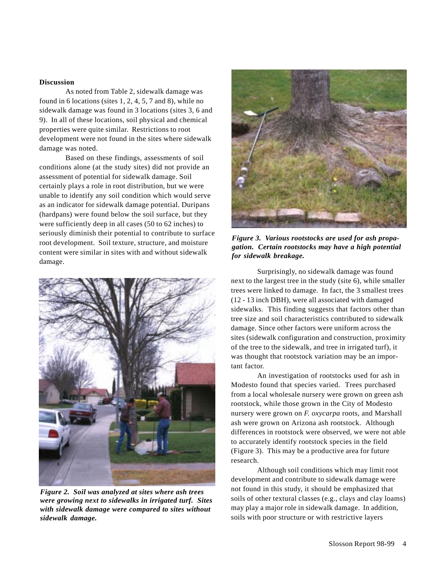#### **Discussion**

As noted from Table 2, sidewalk damage was found in 6 locations (sites 1, 2, 4, 5, 7 and 8), while no sidewalk damage was found in 3 locations (sites 3, 6 and 9). In all of these locations, soil physical and chemical properties were quite similar. Restrictions to root development were not found in the sites where sidewalk damage was noted.

Based on these findings, assessments of soil conditions alone (at the study sites) did not provide an assessment of potential for sidewalk damage. Soil certainly plays a role in root distribution, but we were unable to identify any soil condition which would serve as an indicator for sidewalk damage potential. Duripans (hardpans) were found below the soil surface, but they were sufficiently deep in all cases (50 to 62 inches) to seriously diminish their potential to contribute to surface root development. Soil texture, structure, and moisture content were similar in sites with and without sidewalk damage.



*Figure 2. Soil was analyzed at sites where ash trees were growing next to sidewalks in irrigated turf. Sites with sidewalk damage were compared to sites without sidewalk damage.*



*Figure 3. Various rootstocks are used for ash propagation. Certain rootstocks may have a high potential for sidewalk breakage.*

Surprisingly, no sidewalk damage was found next to the largest tree in the study (site 6), while smaller trees were linked to damage. In fact, the 3 smallest trees (12 - 13 inch DBH), were all associated with damaged sidewalks. This finding suggests that factors other than tree size and soil characteristics contributed to sidewalk damage. Since other factors were uniform across the sites (sidewalk configuration and construction, proximity of the tree to the sidewalk, and tree in irrigated turf), it was thought that rootstock variation may be an important factor.

An investigation of rootstocks used for ash in Modesto found that species varied. Trees purchased from a local wholesale nursery were grown on green ash rootstock, while those grown in the City of Modesto nursery were grown on *F. oxycarpa* roots, and Marshall ash were grown on Arizona ash rootstock. Although differences in rootstock were observed, we were not able to accurately identify rootstock species in the field (Figure 3). This may be a productive area for future research.

Although soil conditions which may limit root development and contribute to sidewalk damage were not found in this study, it should be emphasized that soils of other textural classes (e.g., clays and clay loams) may play a major role in sidewalk damage. In addition, soils with poor structure or with restrictive layers